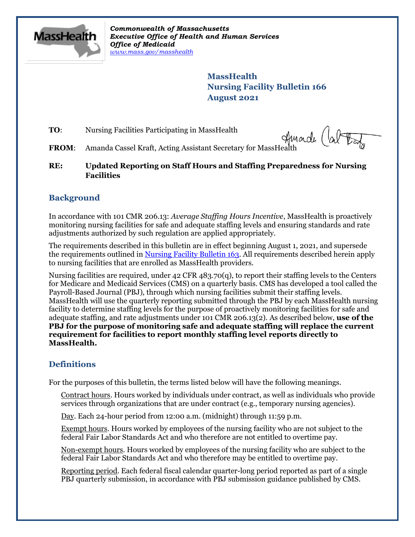

*Commonwealth of Massachusetts Executive Office of Health and Human Services Office of Medicaid [www.mass.gov/masshealth](http://www.mass.gov/masshealth)*

> **MassHealth Nursing Facility Bulletin 166 August 2021**

**TO:** Nursing Facilities Participating in MassHealth

**FROM:** Nursing Facilities Participating in MassHealth<br>**FROM:** Amanda Cassel Kraft, Acting Assistant Secretary for MassHealth

**RE: Updated Reporting on Staff Hours and Staffing Preparedness for Nursing Facilities**

## **Background**

In accordance with 101 CMR 206.13: *Average Staffing Hours Incentive*, MassHealth is proactively monitoring nursing facilities for safe and adequate staffing levels and ensuring standards and rate adjustments authorized by such regulation are applied appropriately.

The requirements described in this bulletin are in effect beginning August 1, 2021, and supersede the requirements outlined in [Nursing Facility Bulletin 163.](https://www.mass.gov/lists/masshealth-provider-bulletins-by-provider-type-i-n#nursing-facility-) All requirements described herein apply to nursing facilities that are enrolled as MassHealth providers.

Nursing facilities are required, under 42 CFR 483.70(q), to report their staffing levels to the Centers for Medicare and Medicaid Services (CMS) on a quarterly basis. CMS has developed a tool called the Payroll-Based Journal (PBJ), through which nursing facilities submit their staffing levels. MassHealth will use the quarterly reporting submitted through the PBJ by each MassHealth nursing facility to determine staffing levels for the purpose of proactively monitoring facilities for safe and adequate staffing, and rate adjustments under 101 CMR 206.13(2). As described below, **use of the PBJ for the purpose of monitoring safe and adequate staffing will replace the current requirement for facilities to report monthly staffing level reports directly to MassHealth.**

## **Definitions**

For the purposes of this bulletin, the terms listed below will have the following meanings.

Contract hours. Hours worked by individuals under contract, as well as individuals who provide services through organizations that are under contract (e.g., temporary nursing agencies).

Day. Each 24-hour period from 12:00 a.m. (midnight) through 11:59 p.m.

Exempt hours. Hours worked by employees of the nursing facility who are not subject to the federal Fair Labor Standards Act and who therefore are not entitled to overtime pay.

Non-exempt hours. Hours worked by employees of the nursing facility who are subject to the federal Fair Labor Standards Act and who therefore may be entitled to overtime pay.

Reporting period. Each federal fiscal calendar quarter-long period reported as part of a single PBJ quarterly submission, in accordance with PBJ submission guidance published by CMS.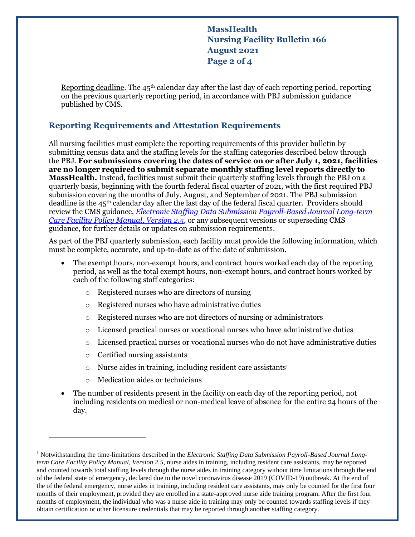**MassHealth Nursing Facility Bulletin 166 August 2021 Page 2 of 4**

Reporting deadline. The  $45<sup>th</sup>$  calendar day after the last day of each reporting period, reporting on the previous quarterly reporting period, in accordance with PBJ submission guidance published by CMS.

#### **Reporting Requirements and Attestation Requirements**

All nursing facilities must complete the reporting requirements of this provider bulletin by submitting census data and the staffing levels for the staffing categories described below through the PBJ. **For submissions covering the dates of service on or after July 1, 2021, facilities are no longer required to submit separate monthly staffing level reports directly to MassHealth.** Instead, facilities must submit their quarterly staffing levels through the PBJ on a quarterly basis, beginning with the fourth federal fiscal quarter of 2021, with the first required PBJ submission covering the months of July, August, and September of 2021. The PBJ submission deadline is the  $45<sup>th</sup>$  calendar day after the last day of the federal fiscal quarter. Providers should review the CMS guidance, *[Electronic Staffing Data Submission Payroll-Based Journal](https://www.cms.gov/Medicare/Quality-Initiatives-Patient-Assessment-Instruments/NursingHomeQualityInits/Downloads/PBJ-Policy-Manual-Final-V25-11-19-2018.pdf) Long-term [Care Facility Policy Manual, Version 2.5](https://www.cms.gov/Medicare/Quality-Initiatives-Patient-Assessment-Instruments/NursingHomeQualityInits/Downloads/PBJ-Policy-Manual-Final-V25-11-19-2018.pdf)*, or any subsequent versions or superseding CMS guidance, for further details or updates on submission requirements.

As part of the PBJ quarterly submission, each facility must provide the following information, which must be complete, accurate, and up-to-date as of the date of submission.

- The exempt hours, non-exempt hours, and contract hours worked each day of the reporting period, as well as the total exempt hours, non-exempt hours, and contract hours worked by each of the following staff categories:
	- o Registered nurses who are directors of nursing
	- o Registered nurses who have administrative duties
	- o Registered nurses who are not directors of nursing or administrators
	- o Licensed practical nurses or vocational nurses who have administrative duties
	- o Licensed practical nurses or vocational nurses who do not have administrative duties
	- o Certified nursing assistants
	- $\circ$  Nurse aides in training, including resident care assistants<sup>1</sup>
	- o Medication aides or technicians
- The number of residents present in the facility on each day of the reporting period, not including residents on medical or non-medical leave of absence for the entire 24 hours of the day.

<sup>1</sup> Notwithstanding the time-limitations described in the *Electronic Staffing Data Submission Payroll-Based Journal Longterm Care Facility Policy Manual, Version 2.5*, nurse aides in training, including resident care assistants, may be reported and counted towards total staffing levels through the nurse aides in training category without time limitations through the end of the federal state of emergency, declared due to the novel coronavirus disease 2019 (COVID-19) outbreak. At the end of the of the federal emergency, nurse aides in training, including resident care assistants, may only be counted for the first four months of their employment, provided they are enrolled in a state-approved nurse aide training program. After the first four months of employment, the individual who was a nurse aide in training may only be counted towards staffing levels if they obtain certification or other licensure credentials that may be reported through another staffing category.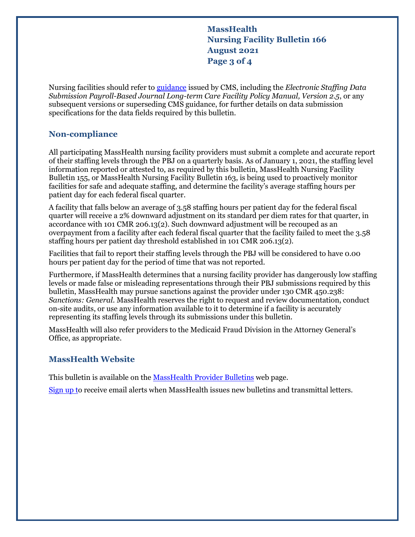**MassHealth Nursing Facility Bulletin 166 August 2021 Page 3 of 4**

Nursing facilities should refer to [guidance](https://www.cms.gov/Medicare/Quality-Initiatives-Patient-Assessment-Instruments/NursingHomeQualityInits/Staffing-Data-Submission-PBJ) issued by CMS, including the *Electronic Staffing Data Submission Payroll-Based Journal Long-term Care Facility Policy Manual, Version 2.5*, or any subsequent versions or superseding CMS guidance, for further details on data submission specifications for the data fields required by this bulletin.

## **Non-compliance**

All participating MassHealth nursing facility providers must submit a complete and accurate report of their staffing levels through the PBJ on a quarterly basis. As of January 1, 2021, the staffing level information reported or attested to, as required by this bulletin, MassHealth Nursing Facility Bulletin 155, or MassHealth Nursing Facility Bulletin 163, is being used to proactively monitor facilities for safe and adequate staffing, and determine the facility's average staffing hours per patient day for each federal fiscal quarter.

A facility that falls below an average of 3.58 staffing hours per patient day for the federal fiscal quarter will receive a 2% downward adjustment on its standard per diem rates for that quarter, in accordance with 101 CMR 206.13(2). Such downward adjustment will be recouped as an overpayment from a facility after each federal fiscal quarter that the facility failed to meet the 3.58 staffing hours per patient day threshold established in 101 CMR 206.13(2).

Facilities that fail to report their staffing levels through the PBJ will be considered to have 0.00 hours per patient day for the period of time that was not reported.

Furthermore, if MassHealth determines that a nursing facility provider has dangerously low staffing levels or made false or misleading representations through their PBJ submissions required by this bulletin, MassHealth may pursue sanctions against the provider under 130 CMR 450.238: *Sanctions: General*. MassHealth reserves the right to request and review documentation, conduct on-site audits, or use any information available to it to determine if a facility is accurately representing its staffing levels through its submissions under this bulletin.

MassHealth will also refer providers to the Medicaid Fraud Division in the Attorney General's Office, as appropriate.

#### **MassHealth Website**

This bulletin is available on th[e MassHealth Provider Bulletins](http://www.mass.gov/masshealth-provider-bulletins) web page.

[Sign up to](https://www.mass.gov/forms/email-notifications-for-masshealth-provider-bulletins-and-transmittal-letters) receive email alerts when MassHealth issues new bulletins and transmittal letters.